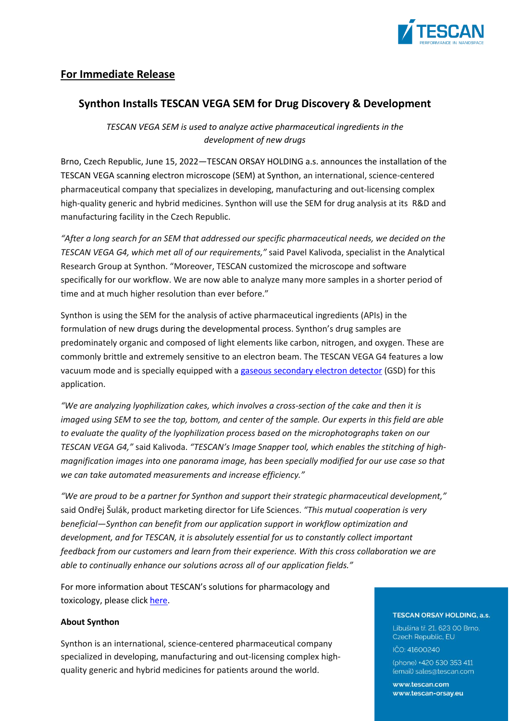

# **For Immediate Release**

## **Synthon Installs TESCAN VEGA SEM for Drug Discovery & Development**

*TESCAN VEGA SEM is used to analyze active pharmaceutical ingredients in the development of new drugs* 

Brno, Czech Republic, June 15, 2022―TESCAN ORSAY HOLDING a.s. announces the installation of the TESCAN VEGA scanning electron microscope (SEM) at Synthon, an international, science-centered pharmaceutical company that specializes in developing, manufacturing and out-licensing complex high-quality generic and hybrid medicines. Synthon will use the SEM for drug analysis at its R&D and manufacturing facility in the Czech Republic.

*"After a long search for an SEM that addressed our specific pharmaceutical needs, we decided on the TESCAN VEGA G4, which met all of our requirements,"* said Pavel Kalivoda, specialist in the Analytical Research Group at Synthon. "Moreover, TESCAN customized the microscope and software specifically for our workflow. We are now able to analyze many more samples in a shorter period of time and at much higher resolution than ever before."

Synthon is using the SEM for the analysis of active pharmaceutical ingredients (APIs) in the formulation of new drugs during the developmental process. Synthon's drug samples are predominately organic and composed of light elements like carbon, nitrogen, and oxygen. These are commonly brittle and extremely sensitive to an electron beam. The TESCAN VEGA G4 features a low vacuum mode and is specially equipped with a gaseous [secondary](https://www.tescan.com/product/tescan-multivac/) electron detector (GSD) for this application.

*"We are analyzing lyophilization cakes, which involves a cross-section of the cake and then it is* imaged using SEM to see the top, bottom, and center of the sample. Our experts in this field are able *to evaluate the quality of the lyophilization process based on the microphotographs taken on our TESCAN VEGA G4,"* said Kalivoda. *"TESCAN's Image Snapper tool, which enables the stitching of highmagnification images into one panorama image, has been specially modified for our use case so that we can take automated measurements and increase efficiency."*

*"We are proud to be a partner for Synthon and support their strategic pharmaceutical development,"* said Ondřej Šulák, product marketing director for Life Sciences. *"This mutual cooperation is very beneficial―Synthon can benefit from our application support in workflow optimization and development, and for TESCAN, it is absolutely essential for us to constantly collect important feedback from our customers and learn from their experience. With this cross collaboration we are able to continually enhance our solutions across all of our application fields."*

For more information about TESCAN's solutions for pharmacology and toxicology, please click [here.](:%20https:/www.tescan.com/applications/life-sciences/pharmacology-toxicology/)

## **About Synthon**

Synthon is an international, science-centered pharmaceutical company specialized in developing, manufacturing and out-licensing complex highquality generic and hybrid medicines for patients around the world.

#### **TESCAN ORSAY HOLDING, a.s.**

Libušina tř. 21. 623 00 Brno. Czech Republic, EU IČO: 41600240

(phone) +420 530 353 411 (email) sales@tescan.com

www.tescan.com www.tescan-orsav.eu